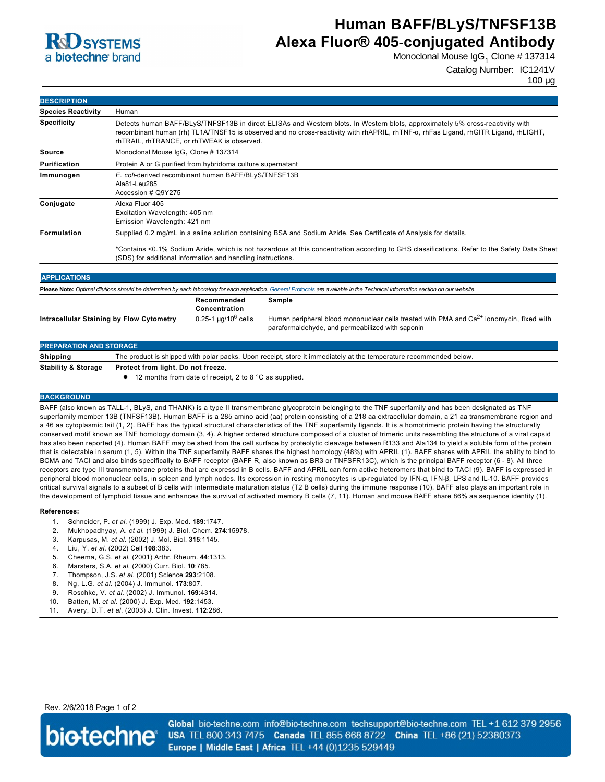

# **Human BAFF/BLyS/TNFSF13B Alexa Fluor® 405-conjugated Antibody**

Monoclonal Mouse IgG<sub>1</sub> Clone # 137314

Catalog Number: IC1241V

100 µg

| <b>DESCRIPTION</b>        |                                                                                                                                                                                                                                                                                                                    |
|---------------------------|--------------------------------------------------------------------------------------------------------------------------------------------------------------------------------------------------------------------------------------------------------------------------------------------------------------------|
| <b>Species Reactivity</b> | Human                                                                                                                                                                                                                                                                                                              |
| <b>Specificity</b>        | Detects human BAFF/BLyS/TNFSF13B in direct ELISAs and Western blots. In Western blots, approximately 5% cross-reactivity with<br>recombinant human (rh) TL1A/TNSF15 is observed and no cross-reactivity with rhAPRIL, rhTNF-a, rhFas Ligand, rhGITR Ligand, rhLIGHT,<br>rhTRAIL, rhTRANCE, or rhTWEAK is observed. |
| Source                    | Monoclonal Mouse IgG <sub>1</sub> Clone # 137314                                                                                                                                                                                                                                                                   |
| <b>Purification</b>       | Protein A or G purified from hybridoma culture supernatant                                                                                                                                                                                                                                                         |
| Immunogen                 | E. coli-derived recombinant human BAFF/BLyS/TNFSF13B<br>Ala81-Leu285<br>Accession # Q9Y275                                                                                                                                                                                                                         |
| Conjugate                 | Alexa Fluor 405<br>Excitation Wavelength: 405 nm<br>Emission Wavelength: 421 nm                                                                                                                                                                                                                                    |
| Formulation               | Supplied 0.2 mg/mL in a saline solution containing BSA and Sodium Azide. See Certificate of Analysis for details.                                                                                                                                                                                                  |
|                           | *Contains <0.1% Sodium Azide, which is not hazardous at this concentration according to GHS classifications. Refer to the Safety Data Sheet<br>(SDS) for additional information and handling instructions.                                                                                                         |

| <b>APPLICATIONS</b>                                                                                                                                                               |                               |                                                                                                                                                |  |  |
|-----------------------------------------------------------------------------------------------------------------------------------------------------------------------------------|-------------------------------|------------------------------------------------------------------------------------------------------------------------------------------------|--|--|
| Please Note: Optimal dilutions should be determined by each laboratory for each application. General Protocols are available in the Technical Information section on our website. |                               |                                                                                                                                                |  |  |
|                                                                                                                                                                                   | Recommended<br>Concentration  | Sample                                                                                                                                         |  |  |
| Intracellular Staining by Flow Cytometry                                                                                                                                          | $0.25 - 1 \mu q / 10^6$ cells | Human peripheral blood mononuclear cells treated with PMA and $Ca2+$ ionomycin, fixed with<br>paraformaldehyde, and permeabilized with saponin |  |  |
|                                                                                                                                                                                   |                               |                                                                                                                                                |  |  |

| <b>PREPARATION AND STORAGE</b> |                                                                                                                   |  |  |
|--------------------------------|-------------------------------------------------------------------------------------------------------------------|--|--|
| Shipping                       | The product is shipped with polar packs. Upon receipt, store it immediately at the temperature recommended below. |  |  |
| <b>Stability &amp; Storage</b> | Protect from light. Do not freeze.<br>$\bullet$ 12 months from date of receipt, 2 to 8 °C as supplied.            |  |  |
|                                |                                                                                                                   |  |  |

### **BACKGROUND**

BAFF (also known as TALL1, BLyS, and THANK) is a type II transmembrane glycoprotein belonging to the TNF superfamily and has been designated as TNF superfamily member 13B (TNFSF13B). Human BAFF is a 285 amino acid (aa) protein consisting of a 218 aa extracellular domain, a 21 aa transmembrane region and a 46 aa cytoplasmic tail (1, 2). BAFF has the typical structural characteristics of the TNF superfamily ligands. It is a homotrimeric protein having the structurally conserved motif known as TNF homology domain (3, 4). A higher ordered structure composed of a cluster of trimeric units resembling the structure of a viral capsid has also been reported (4). Human BAFF may be shed from the cell surface by proteolytic cleavage between R133 and Ala134 to yield a soluble form of the protein that is detectable in serum (1, 5). Within the TNF superfamily BAFF shares the highest homology (48%) with APRIL (1). BAFF shares with APRIL the ability to bind to BCMA and TACI and also binds specifically to BAFF receptor (BAFF R, also known as BR3 or TNFSFR13C), which is the principal BAFF receptor (6 8). All three receptors are type III transmembrane proteins that are expressd in B cells. BAFF and APRIL can form active heteromers that bind to TACI (9). BAFF is expressed in peripheral blood mononuclear cells, in spleen and lymph nodes. Its expression in resting monocytes is up-regulated by IFN-α, IFN-β, LPS and IL-10. BAFF provides critical survival signals to a subset of B cells with intermediate maturation status (T2 B cells) during the immune response (10). BAFF also plays an important role in the development of lymphoid tissue and enhances the survival of activated memory B cells (7, 11). Human and mouse BAFF share 86% aa sequence identity (1).

#### **References:**

- 1. Schneider, P. *et al*. (1999) J. Exp. Med. **189**:1747.
- 2. Mukhopadhyay, A. *et al*. (1999) J. Biol. Chem. **274**:15978.
- 3. Karpusas, M. *et al*. (2002) J. Mol. Biol. **315**:1145.
- 4. Liu, Y. *et al*. (2002) Cell **108**:383.
- 5. Cheema, G.S. *et al*. (2001) Arthr. Rheum. **44**:1313.
- 6. Marsters, S.A. *et al*. (2000) Curr. Biol. **10**:785.
- 7. Thompson, J.S. *et al*. (2001) Science **293**:2108.
- 8. Ng, L.G. *et al*. (2004) J. Immunol. **173**:807.
- 9. Roschke, V. *et al*. (2002) J. Immunol. **169**:4314.
- 10. Batten, M. *et al*. (2000) J. Exp. Med. **192**:1453.
- 11. Avery, D.T. *et al.* (2003) J. Clin. Invest. **112**:286.

Rev. 2/6/2018 Page 1 of 2



Global bio-techne.com info@bio-techne.com techsupport@bio-techne.com TEL +1 612 379 2956 USA TEL 800 343 7475 Canada TEL 855 668 8722 China TEL +86 (21) 52380373 Europe | Middle East | Africa TEL +44 (0)1235 529449